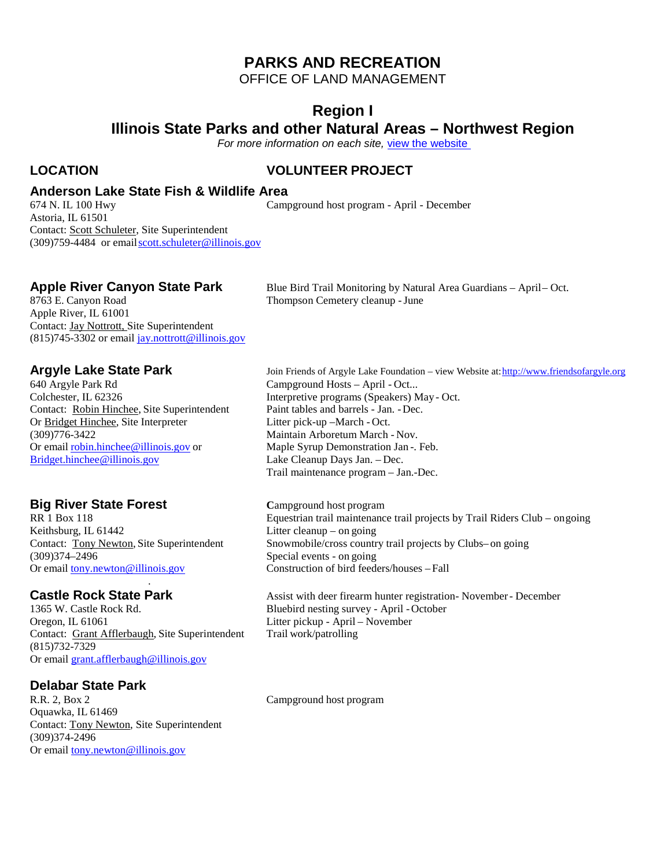### **PARKS AND RECREATION**

OFFICE OF LAND MANAGEMENT

### **Region I**

**Illinois State Parks and other Natural Areas – Northwest Region**

*For more information on each site,* [view the website](https://www.dnr.illinois.gov/Parks/Pages/default.aspx)

### **LOCATION VOLUNTEER PROJECT**

Campground host program - April - December

### **Anderson Lake State Fish & Wildlife Area**

674 N. IL 100 Hwy Astoria, IL 61501 Contact: Scott Schuleter, Site Superintendent (309)759-4484 or emai[lscott.schuleter@illino](mailto:doug.jallas@illinois.gov)is.gov

Apple River, IL 61001 Contact: Jay Nottrott, Site Superintendent  $(815)745-3302$  or email [jay.nottrott@illinois.gov](mailto:jay.nottrott@illinois.gov)

Colchester, IL 62326 Interpretive programs (Speakers) May - Oct.<br>
Contact: Robin Hinchee, Site Superintendent Paint tables and barrels - Jan. - Dec. Contact: <u>Robin Hinchee</u>, Site Superintendent Paint tables and barrels - Jan.<br>Or Bridget Hinchee, Site Interpreter Litter pick-up – March - Oct. Or Bridget Hinchee, Site Interpreter (309)776-3422 Or email <u>[robin.hinchee@illinois.gov](mailto:robin.hinchee@illinois.gov)</u> or<br>Bridget.hinchee@illinois.gov

Keithsburg, IL 61442 Litter cleanup – on going<br>Contact: Tony Newton, Site Superintendent Snowmobile/cross countr (309)374–2496<br>Or email tony newton @illinois.gov Special events - on going<br>Construction of bird feeders/houses – Fall Or email [tony.newton@illinois.gov](mailto:tony.newton@illinois.gov)

1365 W. Castle Rock Rd. Bluebird nesting survey - April - October Oregon, IL 61061 <br>Citer pickup - April - November Contact: Grant Afflerbaugh, Site Superintendent Trail work/patrolling (815)732-7329 Or email [grant.afflerbaugh@illinois.gov](mailto:grant.afflerbaugh@illinois.gov)

.

## **Delabar State Park**

Oquawka, IL 61469 Contact: Tony Newton, Site Superintendent (309)374-2496 Or email [tony.newton@illinois.gov](mailto:tony.newton@illinois.gov)

**Apple River Canyon State Park** Blue Bird Trail Monitoring by Natural Area Guardians – April– Oct.<br>8763 E. Canyon Road **Canyon Cemetery Cleanup** - June Thompson Cemetery cleanup - June

**Argyle Lake State Park** Join Friends of Argyle Lake Foundation – view Website at: http://www.friendsofargyle.org<br>640 Argyle Park Rd Campground Hosts – April - Oct... Campground Hosts – April - Oct... Maintain Arboretum March - Nov.<br>Maple Syrup Demonstration Jan -. Feb. Lake Cleanup Days Jan. – Dec. Trail maintenance program – Jan.-Dec.

**Big River State Forest Campground host program**<br>RR 1 Box 118 **Campground host program**<br>Equestrian trail maintenance Equestrian trail maintenance trail projects by Trail Riders Club – ongoing Snowmobile/cross country trail projects by Clubs– on going

**Castle Rock State Park** Assist with deer firearm hunter registration- November - December 1365 W. Castle Rock Rd. **Bluebird nesting survey** - April - October Litter pickup - April – November

Campground host program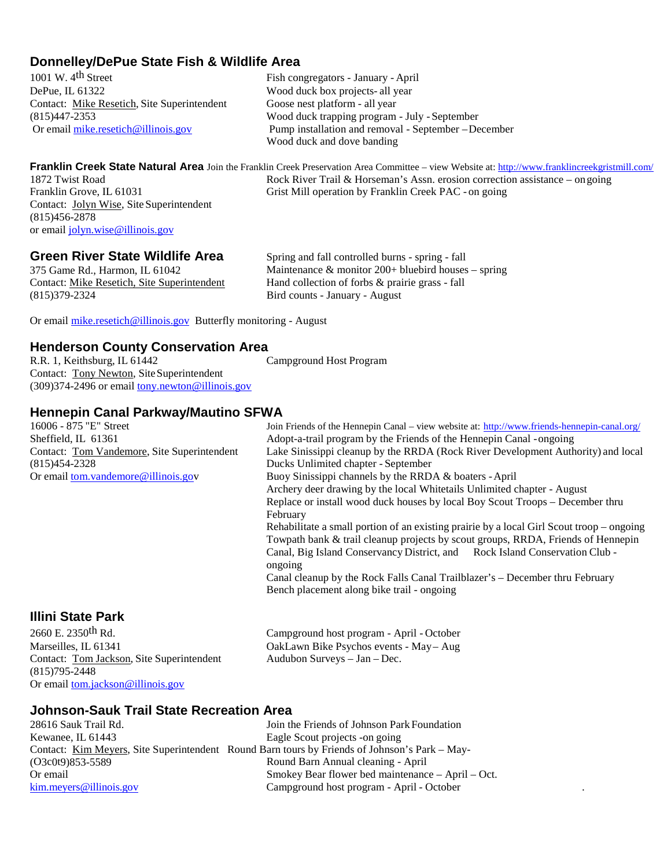# **Donnelley/DePue State Fish & Wildlife Area**<br>1001 W. 4<sup>th</sup> Street<br>Fish cor

1001 W. 4<sup>th</sup> Street Fish congregators - January - April<br>DePue. IL 61322 Wood duck box projects- all year Contact: Mike Resetich, Site Superintendent

Wood duck box projects- all year<br>Goose nest platform - all year (815)447-2353 Wood duck trapping program - July - September Pump installation and removal - September –December Wood duck and dove banding

**Franklin Creek State Natural Area** Join the Franklin Creek Preservation Area Committee – view Website at[: http://www.franklincreekgristmill.com/](http://www.franklincreekgristmill.com/) 1872 Twist Road Rock River Trail & Horseman's Assn. erosion correction assistance – on going Franklin Grove, IL 61031 Grist Mill operation by Franklin Creek PAC - on going

**Green River State Wildlife Area**

Contact: Jolyn Wise, Site Superintendent

or email [jolyn.wise@illinois.gov](mailto:jolyn.wise@illinois.gov)

(815)456-2878

375 Game Rd., Harmon, IL 61042 Contact: Mike Resetich, Site Superintendent (815)379-2324

Spring and fall controlled burns - spring - fall Maintenance  $&$  monitor 200+ bluebird houses – spring Hand collection of forbs & prairie grass - fall Bird counts - January - August

Or email [mike.resetich@illinois.gov](mailto:tony.holtschlag@illinois.gov) Butterfly monitoring - August

## **Henderson County Conservation Area**<br>R.R. 1, Keithsburg, IL 61442

Contact: Tony Newton, SiteSuperintendent (309)374-2496 or email [tony.newton@illinois.gov](mailto:tony.newton@illinois.gov) Campground Host Program

# **Hennepin Canal Parkway/Mautino SFWA**<br>16006 - 875 "E" Street

16006 - 875 "E" Street Join Friends of the Hennepin Canal – view website at: <http://www.friends-hennepin-canal.org/><br>Sheffield, IL 61361 – Adopt-a-trail program by the Friends of the Hennepin Canal - ongoing Sheffield, IL 61361 <br>
Adopt-a-trail program by the Friends of the Hennepin Canal -ongoing<br>
Contact: Tom Vandemore, Site Superintendent Lake Sinissippi cleanup by the RRDA (Rock River Development Auth Lake Sinissippi cleanup by the RRDA (Rock River Development Authority) and local (815)454-2328 Ducks Unlimited chapter - September Or email [tom.vandemore@illinois.gov](mailto:tom.vandemore@illinois.go) Buoy Sinissippi channels by the RRDA & boaters - April Archery deer drawing by the local Whitetails Unlimited chapter - August Replace or install wood duck houses by local Boy Scout Troops – December thru February Rehabilitate a small portion of an existing prairie by a local Girl Scout troop – ongoing Towpath bank & trail cleanup projects by scout groups, RRDA, Friends of Hennepin Canal, Big Island Conservancy District, and Rock Island Conservation Club ongoing Canal cleanup by the Rock Falls Canal Trailblazer's – December thru February Bench placement along bike trail - ongoing

### **Illini State Park**

2660 E. 2350th Rd. Campground host program - April - October Contact: Tom Jackson, Site Superintendent Audubon Surveys – Jan – Dec. (815)795-2448 Or email [tom.jackson@illinois.gov](mailto:tom.jackson@illinois.gov)

Marseilles, IL 61341 OakLawn Bike Psychos events - May– Aug

## **Johnson-Sauk Trail State Recreation Area**

Kewanee, IL 61443 Eagle Scout projects -on going (O3c0t9)853-5589 Or email [kim.meyers@illinois.gov](mailto:kim.meyers@illinois.gov)

Join the Friends of Johnson Park Foundation Contact: Kim Meyers, Site Superintendent Round Barn tours by Friends of Johnson's Park – May- Round Barn Annual cleaning - April Smokey Bear flower bed maintenance – April – Oct. Campground host program - April - October .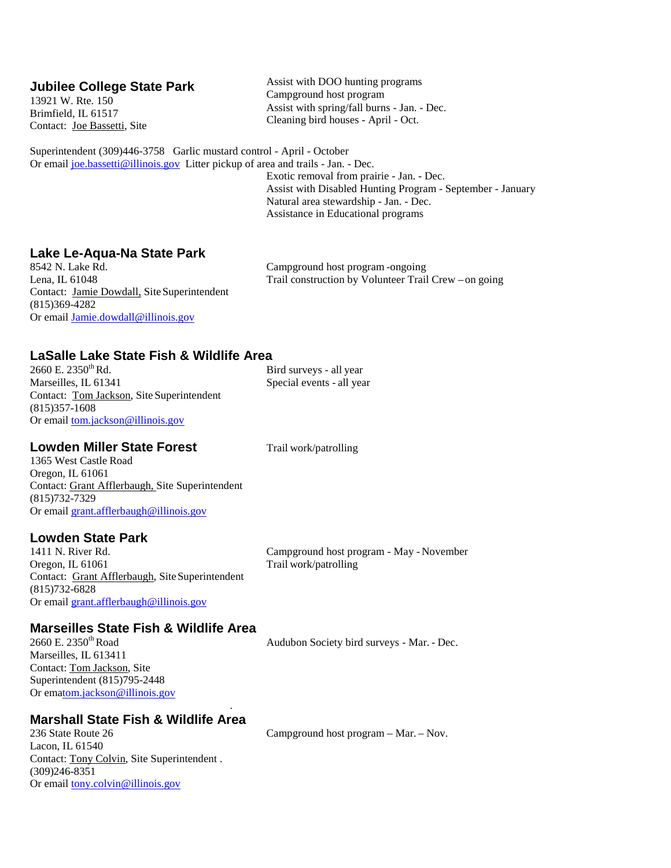### **Jubilee College State Park**

13921 W. Rte. 150 Brimfield, IL 61517 Contact: Joe Bassetti, Site Assist with DOO hunting programs Campground host program Assist with spring/fall burns - Jan. - Dec. Cleaning bird houses - April - Oct.

Superintendent (309)446-3758 Garlic mustard control - April - October Or email [joe.bassetti@illinois.gov](mailto:joe.bassetti@illinois.gov) Litter pickup of area and trails - Jan. - Dec.

Exotic removal from prairie - Jan. - Dec. Assist with Disabled Hunting Program - September - January Natural area stewardship - Jan. - Dec. Assistance in Educational programs

## **Lake Le-Aqua-Na State Park**

8542 N. Lake Rd.<br>
Lena. IL 61048 Campground host program -ongoing<br>
Trail construction by Volunteer Trail Contact: Jamie Dowdall, Site Superintendent (815)369-4282 Or email [Jamie.dowdall@illinois.gov](mailto:Jamie.dowdall@illinois.gov)

Trail construction by Volunteer Trail Crew – on going

## **LaSalle Lake State Fish & Wildlife Area**

Marseilles, IL 61341 Special events - all year Contact: Tom Jackson, Site Superintendent (815)357-1608 Or email [tom.jackson@illinois.gov](mailto:tom.jackson@illinois.gov)

Bird surveys - all year

### **Lowden Miller State Forest** Trail work/patrolling

1365 West Castle Road Oregon, IL 61061 Contact: Grant Afflerbaugh, Site Superintendent (815)732-7329 Or email [grant.afflerbaugh@illinois.gov](mailto:grant.afflerbaugh@illinois.gov)

### **Lowden State Park**

1411 N. River Rd. Campground host program - May - November Oregon, IL 61061 Trail work/patrolling Contact: Grant Afflerbaugh, Site Superintendent (815)732-6828 Or email [grant.afflerbaugh@illinois.gov](mailto:grant.afflerbaugh@illinois.gov)

## **Marseilles State Fish & Wildlife Area**<br>2660 E. 2350<sup>th</sup> Road

Marseilles, IL 613411 Contact: Tom Jackson, Site Superintendent (815)795-2448 Or em[atom.jackson@illinois.gov](mailto:tom.jackson@illinois.gov)

Audubon Society bird surveys - Mar. - Dec.

## **Marshall State Fish & Wildlife Area**<br>236 State Route 26

.

Lacon, IL 61540 Contact: Tony Colvin, Site Superintendent . (309)246-8351 Or email [tony.colvin@illinois.gov](mailto:tony.colvin@illinois.gov)

Campground host program – Mar. – Nov.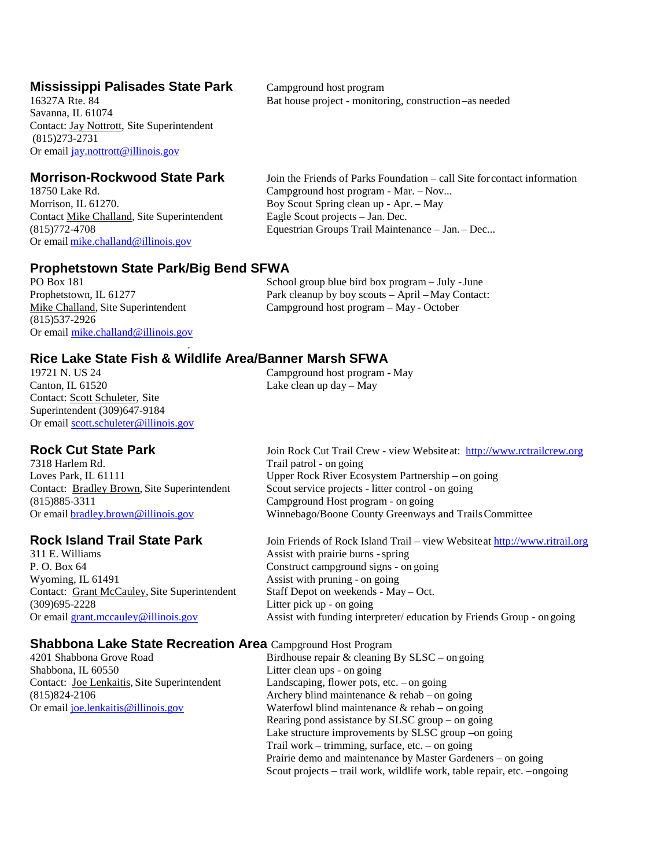## **Mississippi Palisades State Park** Campground host program 16327A Rte. 84 **Camps** Bat house project - monitor

Savanna, IL 61074 Contact: Jay Nottrott, Site Superintendent (815)273-2731 Or email [jay.nottrott@illinois.gov](mailto:jay.nottrott@illinois.gov)

18750 Lake Rd. (2008) Campground host program - Mar. – Nov... (2014) Norrison. IL 61270. Contact Mike Challand, Site Superintendent (815)772-4708 Equestrian Groups Trail Maintenance – Jan. – Dec... Or email [mike.challand@illinois.gov](mailto:mike.challand@illinois.gov)

**Morrison-Rockwood State Park** Join the Friends of Parks Foundation – call Site forcontact information Boy Scout Spring clean up - Apr. – May<br>Eagle Scout projects – Jan. Dec.

### **Prophetstown State Park/Big Bend SFWA**

(815)537-2926 Or email [mike.challand@illinois.gov](mailto:mike.challand@illinois.gov)

PO Box 181 School group blue bird box program – July - June Prophetstown, IL 61277 Park cleanup by boy scouts – April – May Contact: Mike Challand, Site Superintendent Campground host program – May - October

# **Rice Lake State Fish & Wildlife Area/Banner Marsh SFWA**<br>19721 N. US 24 Campground host program

.

19721 N. US 24 Campground host program - May<br>Canton. IL 61520 Lake clean up day — May Contact: Scott Schuleter, Site Superintendent (309)647-9184 Or email [scott.schuleter@illinois.gov](mailto:doug.jallas@illinois.gov)

Contact: Bradley Brown, Site Superintendent (815)885-3311 Campground Host program - on going

P. O. Box 64 Construct campground signs - on going<br>Wyoming, IL 61491 Assist with pruning - on going Contact: Grant McCauley, Site Superintendent (309)695-2228

# **Shabbona Lake State Recreation Area** Campground Host Program 4201 Shabbona Grove Road<br>Birdhouse repair & cleaning 1

Shabbona, IL 60550 Litter clean ups - on going

Lake clean up day – May

**Rock Cut State Park** Join Rock Cut Trail Crew - view Websiteat: [http://www.rctrailcrew.org](http://www.rctrailcrew.org/)<br>
Trail patrol - on going<br>
Trail patrol - on going Trail patrol - on going Loves Park, IL 61111 Upper Rock River Ecosystem Partnership – on going<br>
Contact: Bradley Brown, Site Superintendent Scout service projects - litter control - on going Winnebago/Boone County Greenways and Trails Committee

**Rock Island Trail State Park** Join Friends of Rock Island Trail – view Websiteat **[http://www.ritrail.org](http://www.ritrail.org/)**<br>
Assist with prairie burns - spring Assist with prairie burns - spring Assist with pruning - on going<br>Staff Depot on weekends - May – Oct. Litter pick up - on going Or email [grant.mccauley@illinois.gov](mailto:grant.mccauley@illinois.gov) Assist with funding interpreter/ education by Friends Group - on going

Birdhouse repair  $&$  cleaning By SLSC – on going Contact: Joe Lenkaitis, Site Superintendent Landscaping, flower pots, etc. – on going (815)824-2106<br>Or email joe.lenkaitis @illinois.gov Materfowl blind maintenance & rehab – on going<br>Waterfowl blind maintenance & rehab – on going Waterfowl blind maintenance  $\&$  rehab – on going Rearing pond assistance by SLSC group – on going Lake structure improvements by SLSC group –on going Trail work – trimming, surface, etc. – on going Prairie demo and maintenance by Master Gardeners – on going Scout projects – trail work, wildlife work, table repair, etc. –ongoing

### Bat house project - monitoring, construction –as needed